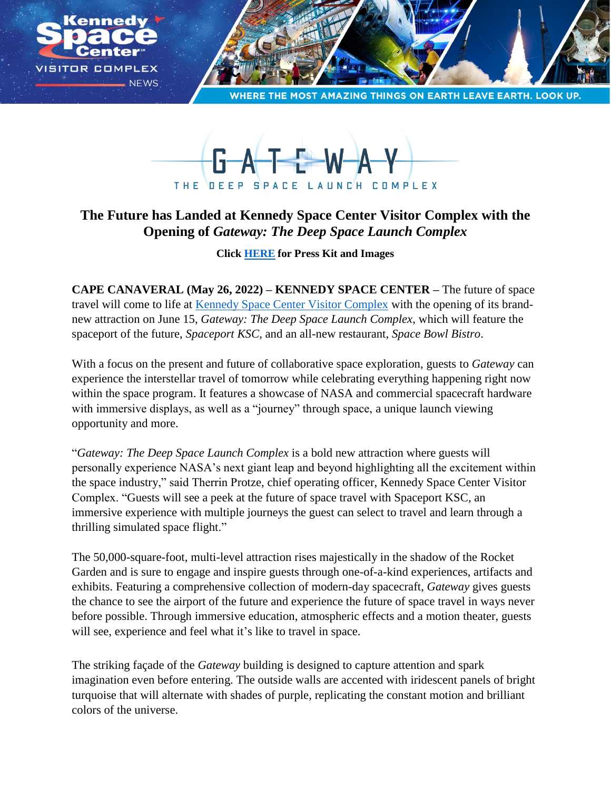

**MOST AMAZING THINGS ON EARTH LEAVE EARTH, LOOK UP** 



## **The Future has Landed at Kennedy Space Center Visitor Complex with the Opening of** *Gateway: The Deep Space Launch Complex*

**Click [HERE](https://www.dropbox.com/sh/ay4y98ai06k14it/AAB_Roz-wpPkAp9qfDn0yh0_a?dl=0) for Press Kit and Images**

**CAPE CANAVERAL (May 26, 2022) – KENNEDY SPACE CENTER –** The future of space travel will come to life at [Kennedy Space Center Visitor Complex](https://www.kennedyspacecenter.com/) with the opening of its brandnew attraction on June 15, *Gateway: The Deep Space Launch Complex*, which will feature the spaceport of the future, *Spaceport KSC,* and an all-new restaurant, *Space Bowl Bistro*.

With a focus on the present and future of collaborative space exploration, guests to *Gateway* can experience the interstellar travel of tomorrow while celebrating everything happening right now within the space program. It features a showcase of NASA and commercial spacecraft hardware with immersive displays, as well as a "journey" through space, a unique launch viewing opportunity and more.

"*Gateway: The Deep Space Launch Complex* is a bold new attraction where guests will personally experience NASA's next giant leap and beyond highlighting all the excitement within the space industry," said Therrin Protze, chief operating officer, Kennedy Space Center Visitor Complex. "Guests will see a peek at the future of space travel with Spaceport KSC, an immersive experience with multiple journeys the guest can select to travel and learn through a thrilling simulated space flight."

The 50,000-square-foot, multi-level attraction rises majestically in the shadow of the Rocket Garden and is sure to engage and inspire guests through one-of-a-kind experiences, artifacts and exhibits. Featuring a comprehensive collection of modern-day spacecraft, *Gateway* gives guests the chance to see the airport of the future and experience the future of space travel in ways never before possible. Through immersive education, atmospheric effects and a motion theater, guests will see, experience and feel what it's like to travel in space.

The striking façade of the *Gateway* building is designed to capture attention and spark imagination even before entering. The outside walls are accented with iridescent panels of bright turquoise that will alternate with shades of purple, replicating the constant motion and brilliant colors of the universe.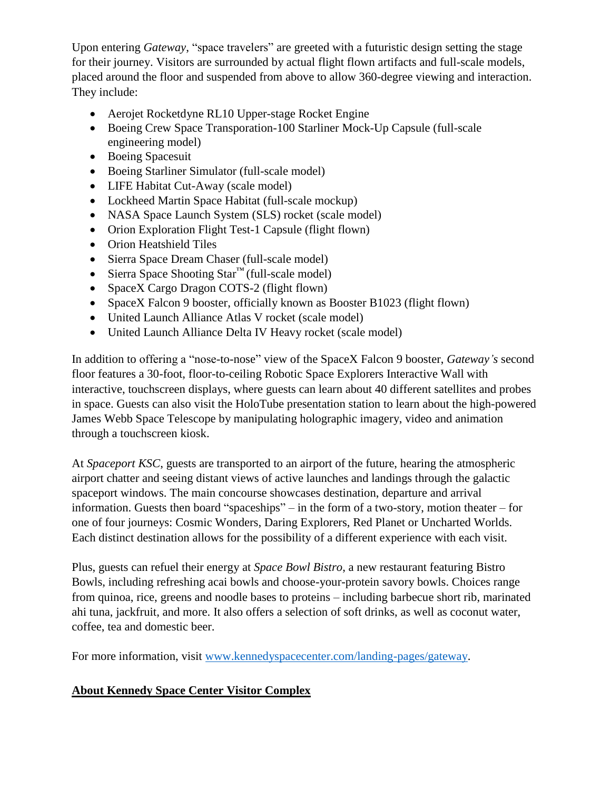Upon entering *Gateway*, "space travelers" are greeted with a futuristic design setting the stage for their journey. Visitors are surrounded by actual flight flown artifacts and full-scale models, placed around the floor and suspended from above to allow 360-degree viewing and interaction. They include:

- Aerojet Rocketdyne RL10 Upper-stage Rocket Engine
- Boeing Crew Space Transporation-100 Starliner Mock-Up Capsule (full-scale engineering model)
- Boeing Spacesuit
- Boeing Starliner Simulator (full-scale model)
- LIFE Habitat Cut-Away (scale model)
- Lockheed Martin Space Habitat (full-scale mockup)
- NASA Space Launch System (SLS) rocket (scale model)
- Orion Exploration Flight Test-1 Capsule (flight flown)
- Orion Heatshield Tiles
- Sierra Space Dream Chaser (full-scale model)
- Sierra Space Shooting Star<sup>™</sup> (full-scale model)
- SpaceX Cargo Dragon COTS-2 (flight flown)
- SpaceX Falcon 9 booster, officially known as Booster B1023 (flight flown)
- United Launch Alliance Atlas V rocket (scale model)
- United Launch Alliance Delta IV Heavy rocket (scale model)

In addition to offering a "nose-to-nose" view of the SpaceX Falcon 9 booster, *Gateway's* second floor features a 30-foot, floor-to-ceiling Robotic Space Explorers Interactive Wall with interactive, touchscreen displays, where guests can learn about 40 different satellites and probes in space. Guests can also visit the HoloTube presentation station to learn about the high-powered James Webb Space Telescope by manipulating holographic imagery, video and animation through a touchscreen kiosk.

At *Spaceport KSC*, guests are transported to an airport of the future, hearing the atmospheric airport chatter and seeing distant views of active launches and landings through the galactic spaceport windows. The main concourse showcases destination, departure and arrival information. Guests then board "spaceships" – in the form of a two-story, motion theater – for one of four journeys: Cosmic Wonders, Daring Explorers, Red Planet or Uncharted Worlds. Each distinct destination allows for the possibility of a different experience with each visit.

Plus, guests can refuel their energy at *Space Bowl Bistro*, a new restaurant featuring Bistro Bowls, including refreshing acai bowls and choose-your-protein savory bowls. Choices range from quinoa, rice, greens and noodle bases to proteins – including barbecue short rib, marinated ahi tuna, jackfruit, and more. It also offers a selection of soft drinks, as well as coconut water, coffee, tea and domestic beer.

For more information, visit [www.kennedyspacecenter.com/landing-pages/gateway.](https://www.kennedyspacecenter.com/landing-pages/gateway)

## **About Kennedy Space Center Visitor Complex**